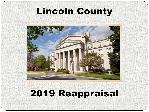## **Lincoln County**

## 2019 Reappraisal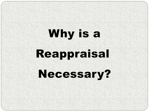# Why is a Reappraisal

## **Necessary?**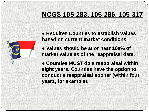#### **NCGS 105-283, 105-286, 105-317**



**● Requires Counties to establish values based on current market conditions.**

- **● Values should be at or near 100% of market value as of the reappraisal date.**
- **● Counties MUST do a reappraisal within eight years. Counties have the option to conduct a reappraisal sooner (within four years, for example).**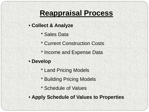#### **Reappraisal Process**

- **Collect & Analyze**
	- \* Sales Data
	- \* Current Construction Costs
	- \* Income and Expense Data
- **Develop**
	- \* Land Pricing Models
	- \* Building Pricing Models
	- \* Schedule of Values
- **Apply Schedule of Values to Properties**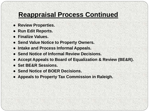#### **Reappraisal Process Continued**

- **● Review Properties.**
- **● Run Edit Reports.**
- **● Finalize Values.**
- **● Send Value Notice to Property Owners.**
- **● Intake and Process Informal Appeals.**
- **● Send Notice of Informal Review Decisions.**
- **● Accept Appeals to Board of Equalization & Review (BE&R).**
- **● Set BE&R Sessions.**
- **● Send Notice of BOER Decisions.**
- **● Appeals to Property Tax Commission in Raleigh.**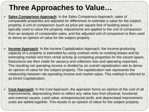#### **Three Approaches to Value…**

- **Sales Comparison Approach:** In the Sales Comparison Approach, sales of comparable properties are adjusted for differences to estimate a value for the subject property. A unit of comparison (such as price per square foot of building area) is typically used to value the property. Adjustments are applied to the unit of comparison from an analysis of comparable sales, and the adjusted unit of comparison is then used to derive an opinion of value for the subject property.
- **Income Approach**: In the Income Capitalization Approach, the income-producing capacity of a property is estimated by using contract rents on existing leases and by estimating market rent from rental activity at competing properties for the vacant space. Deductions are then made for vacancy and collection loss and operating expenses. The resulting net operating income is divided by an overall capitalization rate to derive an opinion of value for the subject property. The capitalization rate represents the relationship between net operating income and market value. This method is referred to as Direct Capitalization.
- **Cost Approach:** In the Cost Approach, the appraiser forms an opinion of the cost of all improvements, depreciating them to reflect any value loss from physical, functional, and external causes. Land value, entrepreneurial profit, and depreciated improvement costs are added together. This results in an opinion of value for the subject property.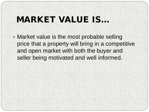## MARKET VALUE IS…

 Market value is the most probable selling price that a property will bring in a competitive and open market with both the buyer and seller being motivated and well informed.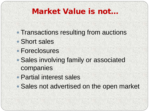#### Market Value is not…

- Transactions resulting from auctions
- Short sales
- Foreclosures
- Sales involving family or associated companies
- Partial interest sales
- Sales not advertised on the open market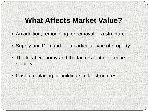#### **What Affects Market Value?**

- An addition, remodeling, or removal of a structure.
- Supply and Demand for a particular type of property.
- The local economy and the factors that determine its stability.
- Cost of replacing or building similar structures.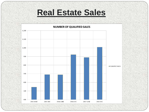#### **Real Estate Sales**

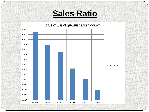## **Sales Ratio**

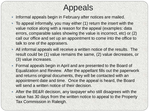## Appeals

- Informal appeals begin in February after notices are mailed.
- To appeal informally, you may either (1) return the insert with the value notice along with a reason for the appeal (examples: data errors, comparable sales showing the value is incorrect, etc) or (2) call our office and set up an appointment to come into the office to talk to one of the appraisers.
- All informal appeals will receive a written notice of the results. The result could be (1) value remains the same, (2) value decreases, or (3) value increases.
- Formal appeals begin in April and are presented to the Board of Equalization and Review. After the appellant fills out the paperwork and returns original documents, they will be contacted with an appointment date and time. Once the appeal is heard, the Board will send a written notice of their decision.
- After the BE&R decision, any taxpayer who still disagrees with the value has 30 days from the written notice to appeal to the Property Tax Commission in Raleigh.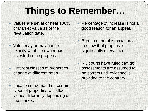## **Things to Remember…**

- Values are set at or near 100% of Market Value as of the revaluation date.
- Value may or may not be exactly what the owner has invested in the property.
- Different classes of properties change at different rates.
- Location or demand on certain types of properties will affect values differently depending on the market.
- Percentage of increase is not a good reason for an appeal.
- Burden of proof is on taxpayer to show that property is significantly overvalued.
- NC courts have ruled that tax assessments are assumed to be correct until evidence is provided to the contrary.